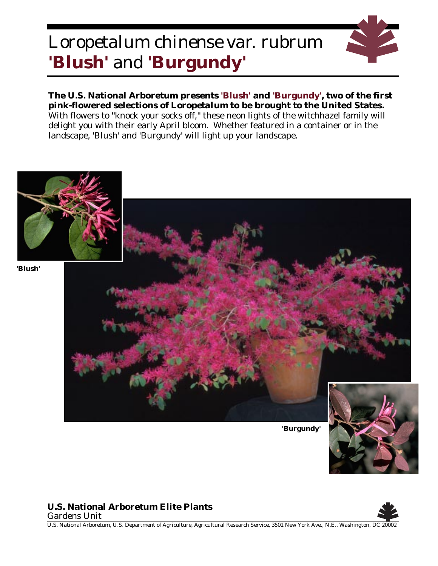## *Loropetalum chinense* var. *rubrum* **'Blush'** and **'Burgundy'**



**The U.S. National Arboretum presents 'Blush' and 'Burgundy', two of the first pink-flowered selections of** *Loropetalum* **to be brought to the United States.** With flowers to "knock your socks off," these neon lights of the witchhazel family will delight you with their early April bloom. Whether featured in a container or in the landscape, 'Blush' and 'Burgundy' will light up your landscape.



## **U.S. National Arboretum Elite Plants**





U.S. National Arboretum, U.S. Department of Agriculture, Agricultural Research Service, 3501 New York Ave., N.E., Washington, DC 20002